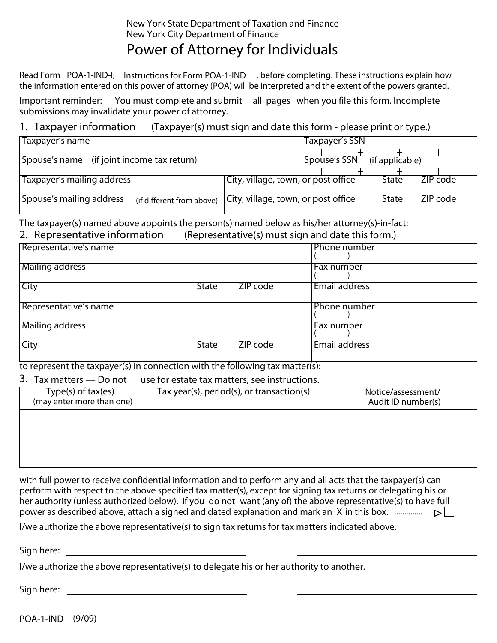New York State Department of Taxation and Finance New York City Department of Finance

# Power of Attorney for Individuals

Read Form POA-1-IND-I, Instructions for Form POA-1-IND, before completing. These instructions explain how the information entered on this power of attorney (POA) will be interpreted and the extent of the powers granted.

Important reminder: You must complete and submit all pages when you file this form. Incomplete submissions may invalidate your power of attorney.

1. Taxpayer information (Taxpayer(s) must sign and date this form - please print or type.)

| Taxpayer's name                                       |                                     | Taxpayer's SSN |                 |          |
|-------------------------------------------------------|-------------------------------------|----------------|-----------------|----------|
|                                                       |                                     |                |                 |          |
| (if joint income tax return)<br>Spouse's name         |                                     | Spouse's SSN   | (if applicable) |          |
| Taxpayer's mailing address                            | City, village, town, or post office |                | State           | ZIP code |
| Spouse's mailing address<br>(if different from above) | City, village, town, or post office |                | State           | ZIP code |

The taxpayer(s) named above appoints the person(s) named below as his/her attorney(s)-in-fact:

2. Representative information (Representative(s) must sign and date this form.)

| Representative's name |              |          | Phone number  |
|-----------------------|--------------|----------|---------------|
| Mailing address       |              |          | Fax number    |
| City                  | State        | ZIP code | Email address |
| Representative's name |              |          | Phone number  |
| Mailing address       |              |          | Fax number    |
| City                  | <b>State</b> | ZIP code | Email address |

to represent the taxpayer(s) in connection with the following tax matter(s):

3. Tax matters — Do not use for estate tax matters; see instructions.

| Type(s) of tax(es)<br>(may enter more than one) | Tax year(s), period(s), or transaction(s) | Notice/assessment/<br>Audit ID number(s) |
|-------------------------------------------------|-------------------------------------------|------------------------------------------|
|                                                 |                                           |                                          |
|                                                 |                                           |                                          |
|                                                 |                                           |                                          |

with full power to receive confidential information and to perform any and all acts that the taxpayer(s) can perform with respect to the above specified tax matter(s), except for signing tax returns or delegating his or her authority (unless authorized below). If you do not want (any of) the above representative(s) to have full power as described above, attach a signed and dated explanation and mark an X in this box. ..............

I/we authorize the above representative(s) to sign tax returns for tax matters indicated above.

Sign here:

I/we authorize the above representative(s) to delegate his or her authority to another.

Sign here:

POA-1-IND (9/09)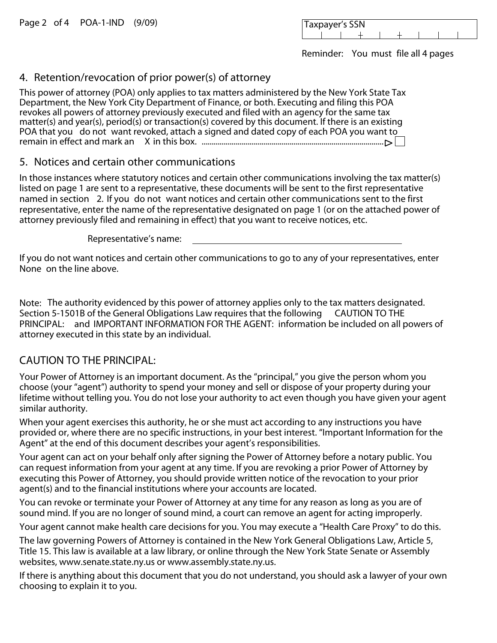| Taxpayer's SSN |  |  |  |
|----------------|--|--|--|
|                |  |  |  |

Reminder: You must file all 4 pages

# 4. Retention/revocation of prior power(s) of attorney

This power of attorney (POA) only applies to tax matters administered by the New York State Tax Department, the New York City Department of Finance, or both. Executing and filing this POA revokes all powers of attorney previously executed and filed with an agency for the same tax matter(s) and year(s), period(s) or transaction(s) covered by this document. If there is an existing POA that you do not want revoked, attach a signed and dated copy of each POA you want to remain in effect and mark an X in this box. ...........................................................................................

## 5. Notices and certain other communications

In those instances where statutory notices and certain other communications involving the tax matter(s) listed on page 1 are sent to a representative, these documents will be sent to the first representative named in section 2. If you do not want notices and certain other communications sent to the first representative, enter the name of the representative designated on page 1 (or on the attached power of attorney previously filed and remaining in effect) that you want to receive notices, etc.

Representative's name:

If you do not want notices and certain other communications to go to any of your representatives, enter None on the line above.

Note: The authority evidenced by this power of attorney applies only to the tax matters designated. Section 5-1501B of the General Obligations Law requires that the following CAUTION TO THE PRINCIPAL: and IMPORTANT INFORMATION FOR THE AGENT: information be included on all powers of attorney executed in this state by an individual.

# CAUTION TO THE PRINCIPAL:

Your Power of Attorney is an important document. As the "principal," you give the person whom you choose (your "agent") authority to spend your money and sell or dispose of your property during your lifetime without telling you. You do not lose your authority to act even though you have given your agent similar authority.

When your agent exercises this authority, he or she must act according to any instructions you have provided or, where there are no specific instructions, in your best interest. "Important Information for the Agent" at the end of this document describes your agent's responsibilities.

Your agent can act on your behalf only after signing the Power of Attorney before a notary public. You can request information from your agent at any time. If you are revoking a prior Power of Attorney by executing this Power of Attorney, you should provide written notice of the revocation to your prior agent(s) and to the financial institutions where your accounts are located.

You can revoke or terminate your Power of Attorney at any time for any reason as long as you are of sound mind. If you are no longer of sound mind, a court can remove an agent for acting improperly.

Your agent cannot make health care decisions for you. You may execute a "Health Care Proxy" to do this.

The law governing Powers of Attorney is contained in the New York General Obligations Law, Article 5, Title 15. This law is available at a law library, or online through the New York State Senate or Assembly websites, www.senate.state.ny.us or www.assembly.state.ny.us.

If there is anything about this document that you do not understand, you should ask a lawyer of your own choosing to explain it to you.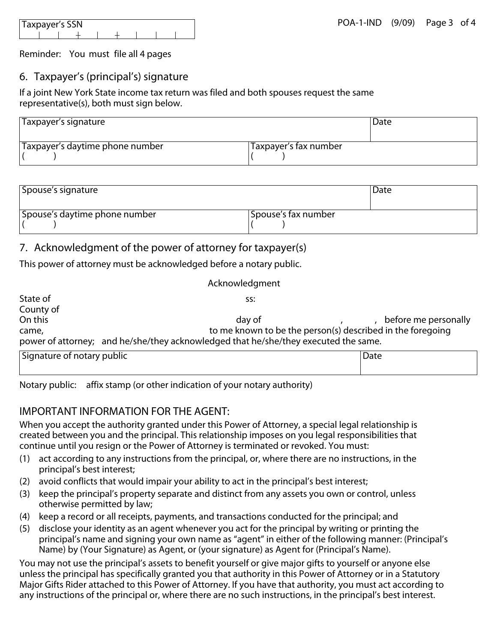| Taxpayer's SSN |  |  |  |  |
|----------------|--|--|--|--|
|                |  |  |  |  |

Reminder: You must file all 4 pages

# 6. Taxpayer's (principal's) signature

If a joint New York State income tax return was filed and both spouses request the same representative(s), both must sign below.

| Taxpayer's signature            |                       | Date |
|---------------------------------|-----------------------|------|
| Taxpayer's daytime phone number | Taxpayer's fax number |      |

| Spouse's signature            |                     | Date |
|-------------------------------|---------------------|------|
| Spouse's daytime phone number | Spouse's fax number |      |

# 7. Acknowledgment of the power of attorney for taxpayer(s)

This power of attorney must be acknowledged before a notary public.

|                              | Acknowledgment                                                                      |                                                            |
|------------------------------|-------------------------------------------------------------------------------------|------------------------------------------------------------|
| State of                     | SS:                                                                                 |                                                            |
| County of                    |                                                                                     |                                                            |
| On this                      | day of                                                                              | before me personally                                       |
| came,                        |                                                                                     | to me known to be the person(s) described in the foregoing |
|                              | power of attorney; and he/she/they acknowledged that he/she/they executed the same. |                                                            |
| $\epsilon$ . $\epsilon$ . If |                                                                                     | $\sim$ .                                                   |

| Signature of notary public | Dall |
|----------------------------|------|
|                            |      |

Notary public: affix stamp (or other indication of your notary authority)

# IMPORTANT INFORMATION FOR THE AGENT:

When you accept the authority granted under this Power of Attorney, a special legal relationship is created between you and the principal. This relationship imposes on you legal responsibilities that continue until you resign or the Power of Attorney is terminated or revoked. You must:

- (1) act according to any instructions from the principal, or, where there are no instructions, in the principal's best interest;
- (2) avoid conflicts that would impair your ability to act in the principal's best interest;
- (3) keep the principal's property separate and distinct from any assets you own or control, unless otherwise permitted by law;
- (4) keep a record or all receipts, payments, and transactions conducted for the principal; and
- (5) disclose your identity as an agent whenever you act for the principal by writing or printing the principal's name and signing your own name as "agent" in either of the following manner: (Principal's Name) by (Your Signature) as Agent, or (your signature) as Agent for (Principal's Name).

You may not use the principal's assets to benefit yourself or give major gifts to yourself or anyone else unless the principal has specifically granted you that authority in this Power of Attorney or in a Statutory Major Gifts Rider attached to this Power of Attorney. If you have that authority, you must act according to any instructions of the principal or, where there are no such instructions, in the principal's best interest.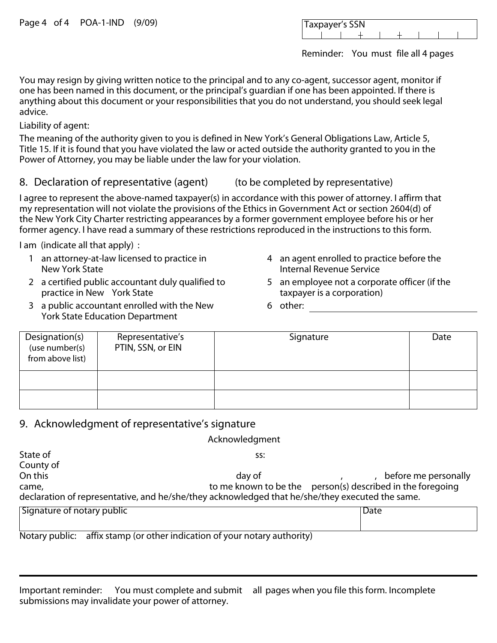Reminder: You must file all 4 pages

You may resign by giving written notice to the principal and to any co-agent, successor agent, monitor if one has been named in this document, or the principal's guardian if one has been appointed. If there is anything about this document or your responsibilities that you do not understand, you should seek legal advice.

Liability of agent:

The meaning of the authority given to you is defined in New York's General Obligations Law, Article 5, Title 15. If it is found that you have violated the law or acted outside the authority granted to you in the Power of Attorney, you may be liable under the law for your violation.

8. Declaration of representative (agent) (to be completed by representative)

I agree to represent the above-named taxpayer(s) in accordance with this power of attorney. I affirm that my representation will not violate the provisions of the Ethics in Government Act or section 2604(d) of the New York City Charter restricting appearances by a former government employee before his or her former agency. I have read a summary of these restrictions reproduced in the instructions to this form.

I am (indicate all that apply) :

- 1 an attorney-at-law licensed to practice in New York State
- 2 a certified public accountant duly qualified to practice in New York State
- 3 a public accountant enrolled with the New York State Education Department
- 4 an agent enrolled to practice before the Internal Revenue Service
- 5 an employee not a corporate officer (if the taxpayer is a corporation)
- 6 other:

| Designation(s)<br>(use number(s)<br>from above list) | Representative's<br>PTIN, SSN, or EIN | Signature | Date |
|------------------------------------------------------|---------------------------------------|-----------|------|
|                                                      |                                       |           |      |
|                                                      |                                       |           |      |

## 9. Acknowledgment of representative's signature

### Acknowledgment

| State of                                                                                        | SS:    |                                                            |
|-------------------------------------------------------------------------------------------------|--------|------------------------------------------------------------|
| County of                                                                                       |        |                                                            |
| On this                                                                                         | day of | before me personally                                       |
| came,                                                                                           |        | to me known to be the person(s) described in the foregoing |
| declaration of representative, and he/she/they acknowledged that he/she/they executed the same. |        |                                                            |

| $\overline{\phantom{a}}$<br>Signature of notary public | Jale |
|--------------------------------------------------------|------|
|                                                        |      |

Notary public: affix stamp (or other indication of your notary authority)

|                                                    |  | Important reminder: You must complete and submit all pages when you file this form. Incomplete |  |
|----------------------------------------------------|--|------------------------------------------------------------------------------------------------|--|
| submissions may invalidate your power of attorney. |  |                                                                                                |  |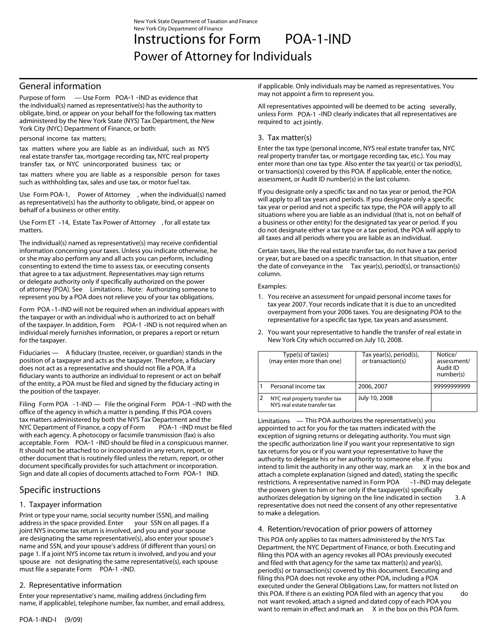Instructions for Form POA-1-IND Power of Attorney for Individuals

### General information

Purpose of form — Use Form POA-1 -IND as evidence that the individual(s) named as representative(s) has the authority to obligate, bind, or appear on your behalf for the following tax matters administered by the New York State (NYS) Tax Department, the New York City (NYC) Department of Finance, or both:

personal income tax matters;

tax matters where you are liable as an individual, such as NYS real estate transfer tax, mortgage recording tax, NYC real property transfer tax, or NYC unincorporated business tax; or

tax matters where you are liable as a responsible person for taxes such as withholding tax, sales and use tax, or motor fuel tax.

Use Form POA-1, Power of Attorney , when the individual(s) named as representative(s) has the authority to obligate, bind, or appear on behalf of a business or other entity.

Use Form ET -14, Estate Tax Power of Attorney , for all estate tax matters.

The individual(s) named as representative(s) may receive confidential information concerning your taxes. Unless you indicate otherwise, he or she may also perform any and all acts you can perform, including consenting to extend the time to assess tax, or executing consents that agree to a tax adjustment. Representatives may sign returns or delegate authority only if specifically authorized on the power of attorney (POA). See Limitations. Note: Authorizing someone to represent you by a POA does not relieve you of your tax obligations.

Form POA -1-IND will not be required when an individual appears with the taxpayer or with an individual who is authorized to act on behalf of the taxpayer. In addition, Form POA-1 -IND is not required when an individual merely furnishes information, or prepares a report or return for the taxpayer.

Fiduciaries — A fiduciary (trustee, receiver, or guardian) stands in the position of a taxpayer and acts as the taxpayer. Therefore, a fiduciary does not act as a representative and should not file a POA. If a fiduciary wants to authorize an individual to represent or act on behalf of the entity, a POA must be filed and signed by the fiduciary acting in the position of the taxpayer.

Filing Form POA -1-IND — File the original Form POA-1 -IND with the office of the agency in which a matter is pending. If this POA covers tax matters administered by both the NYS Tax Department and the<br>NYC Department of Finance, a copy of Form POA-1-IND must be filed NYC Department of Finance, a copy of Form with each agency. A photocopy or facsimile transmission (fax) is also acceptable. Form POA-1 -IND should be filed in a conspicuous manner. It should not be attached to or incorporated in any return, report, or other document that is routinely filed unless the return, report, or other document specifically provides for such attachment or incorporation. Sign and date all copies of documents attached to Form POA-1 IND.-

## Specific instructions

### 1. Taxpayer information

Print or type your name, social security number (SSN), and mailing address in the space provided. Enter your SSN on all pages. If a joint NYS income tax return is involved, and you and your spouse are designating the same representative(s), also enter your spouse's name and SSN, and your spouse's address (if different than yours) on page 1. If a joint NYS income tax return is involved, and you and your spouse are not designating the same representative(s), each spouse must file a separate Form POA-1 -IND.

### 2. Representative information

Enter your representative's name, mailing address (including firm name, if applicable), telephone number, fax number, and email address,

All representatives appointed will be deemed to be acting severally, unless Form POA-1 -IND clearly indicates that all representatives are required to act jointly.

### 3. Tax matter(s)

Enter the tax type (personal income, NYS real estate transfer tax, NYC real property transfer tax, or mortgage recording tax, etc.). You may enter more than one tax type. Also enter the tax year(s) or tax period(s), or transaction(s) covered by this POA. If applicable, enter the notice, assessment, or Audit ID number(s) in the last column.

If you designate only a specific tax and no tax year or period, the POA will apply to all tax years and periods. If you designate only a specific tax year or period and not a specific tax type, the POA will apply to all situations where you are liable as an individual (that is, not on behalf of a business or other entity) for the designated tax year or period. If you do not designate either a tax type or a tax period, the POA will apply to all taxes and all periods where you are liable as an individual.

Certain taxes, like the real estate transfer tax, do not have a tax period or year, but are based on a specific transaction. In that situation, enter the date of conveyance in the Tax year(s), period(s), or transaction(s) column.

Examples:

- 1. You receive an assessment for unpaid personal income taxes for tax year 2007. Your records indicate that it is due to an uncredited overpayment from your 2006 taxes. You are designating POA to the representative for a specific tax type, tax years and assessment.
- 2. You want your representative to handle the transfer of real estate in New York City which occurred on July 10, 2008.

| Type(s) of tax(es)<br>(may enter more than one)                | Tax year(s), $period(s)$ ,<br>or transaction(s) | Notice/<br>assessment/<br>Audit ID<br>number(s) |
|----------------------------------------------------------------|-------------------------------------------------|-------------------------------------------------|
| Personal income tax                                            | 2006, 2007                                      | 9999999999                                      |
| NYC real property transfer tax<br>NYS real estate transfer tax | July 10, 2008                                   |                                                 |

Limitations — This POA authorizes the representative(s) you appointed to act for you for the tax matters indicated with the exception of signing returns or delegating authority. You must sign the specific authorization line if you want your representative to sign tax returns for you or if you want your representative to have the authority to delegate his or her authority to someone else. If you intend to limit the authority in any other way, mark an  $X$  in the box and attach a complete explanation (signed and dated), stating the specific restrictions. A representative named in Form POA -1-IND may delegate the powers given to him or her only if the taxpayer(s) specifically authorizes delegation by signing on the line indicated in section 3. A representative does not need the consent of any other representative to make a delegation.

### 4. Retention/revocation of prior powers of attorney

This POA only applies to tax matters administered by the NYS Tax Department, the NYC Department of Finance, or both. Executing and filing this POA with an agency revokes all POAs previously executed and filed with that agency for the same tax matter(s) and year(s), period(s) or transaction(s) covered by this document. Executing and filing this POA does not revoke any other POA, including a POA executed under the General Obligations Law, for matters not listed on this POA. If there is an existing POA filed with an agency that you do not want revoked, attach a signed and dated copy of each POA you want to remain in effect and mark an X in the box on this POA form.